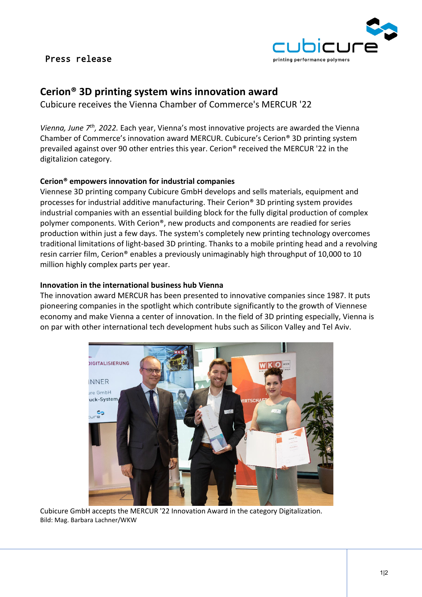## Press release



# **Cerion® 3D printing system wins innovation award**

Cubicure receives the Vienna Chamber of Commerce's MERCUR '22

*Vienna, June 7th, 2022.* Each year, Vienna's most innovative projects are awarded the Vienna Chamber of Commerce's innovation award MERCUR. Cubicure's Cerion® 3D printing system prevailed against over 90 other entries this year. Cerion® received the MERCUR '22 in the digitalizion category.

#### **Cerion® empowers innovation for industrial companies**

Viennese 3D printing company Cubicure GmbH develops and sells materials, equipment and processes for industrial additive manufacturing. Their Cerion® 3D printing system provides industrial companies with an essential building block for the fully digital production of complex polymer components. With Cerion®, new products and components are readied for series production within just a few days. The system's completely new printing technology overcomes traditional limitations of light-based 3D printing. Thanks to a mobile printing head and a revolving resin carrier film, Cerion® enables a previously unimaginably high throughput of 10,000 to 10 million highly complex parts per year.

#### **Innovation in the international business hub Vienna**

The innovation award MERCUR has been presented to innovative companies since 1987. It puts pioneering companies in the spotlight which contribute significantly to the growth of Viennese economy and make Vienna a center of innovation. In the field of 3D printing especially, Vienna is on par with other international tech development hubs such as Silicon Valley and Tel Aviv.



Cubicure GmbH accepts the MERCUR '22 Innovation Award in the category Digitalization. Bild: Mag. Barbara Lachner/WKW